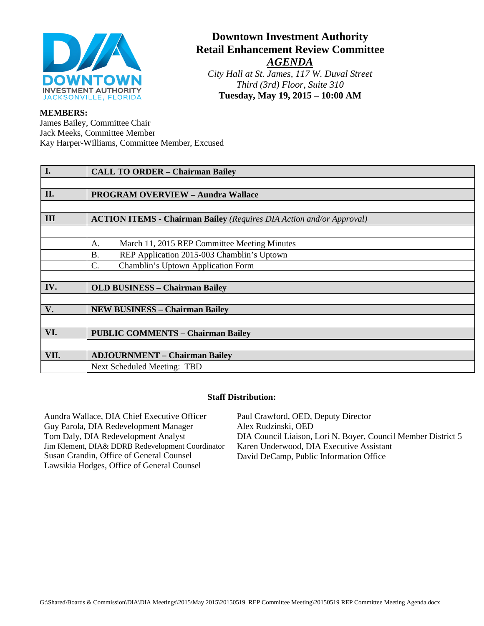

# **Downtown Investment Authority Retail Enhancement Review Committee** *AGENDA*

*City Hall at St. James, 117 W. Duval Street Third (3rd) Floor, Suite 310* **Tuesday, May 19, 2015 – 10:00 AM**

#### **MEMBERS:**

James Bailey, Committee Chair Jack Meeks, Committee Member Kay Harper-Williams, Committee Member, Excused

| I.   | <b>CALL TO ORDER - Chairman Bailey</b>                                      |
|------|-----------------------------------------------------------------------------|
|      |                                                                             |
| II.  | <b>PROGRAM OVERVIEW - Aundra Wallace</b>                                    |
|      |                                                                             |
| Ш    | <b>ACTION ITEMS - Chairman Bailey (Requires DIA Action and/or Approval)</b> |
|      |                                                                             |
|      | March 11, 2015 REP Committee Meeting Minutes<br>А.                          |
|      | REP Application 2015-003 Chamblin's Uptown<br><b>B.</b>                     |
|      | Chamblin's Uptown Application Form<br>C.                                    |
|      |                                                                             |
| IV.  | <b>OLD BUSINESS - Chairman Bailey</b>                                       |
|      |                                                                             |
| V.   | <b>NEW BUSINESS - Chairman Bailey</b>                                       |
|      |                                                                             |
| VI.  | <b>PUBLIC COMMENTS - Chairman Bailey</b>                                    |
|      |                                                                             |
| VII. | <b>ADJOURNMENT - Chairman Bailey</b>                                        |
|      | Next Scheduled Meeting: TBD                                                 |

#### **Staff Distribution:**

Aundra Wallace, DIA Chief Executive Officer Guy Parola, DIA Redevelopment Manager Tom Daly, DIA Redevelopment Analyst Jim Klement, DIA& DDRB Redevelopment Coordinator Susan Grandin, Office of General Counsel Lawsikia Hodges, Office of General Counsel Paul Crawford, OED, Deputy Director Alex Rudzinski, OED DIA Council Liaison, Lori N. Boyer, Council Member District 5 Karen Underwood, DIA Executive Assistant David DeCamp, Public Information Office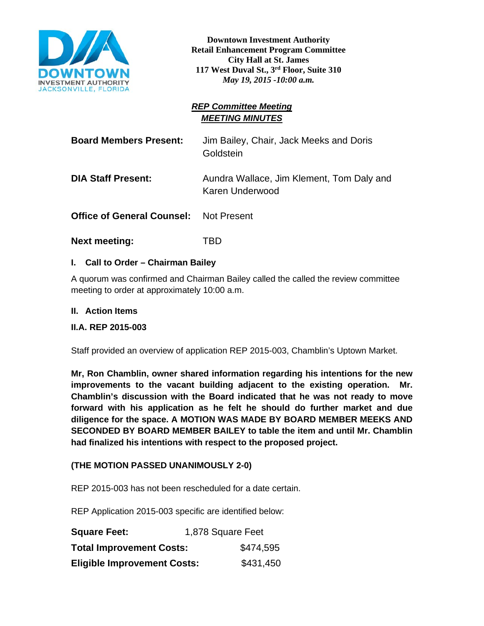

**Downtown Investment Authority Retail Enhancement Program Committee City Hall at St. James 117 West Duval St., 3rd Floor, Suite 310** *May 19, 2015 -10:00 a.m.*

### *REP Committee Meeting MEETING MINUTES*

| <b>Board Members Present:</b>                 | Jim Bailey, Chair, Jack Meeks and Doris<br>Goldstein         |
|-----------------------------------------------|--------------------------------------------------------------|
| <b>DIA Staff Present:</b>                     | Aundra Wallace, Jim Klement, Tom Daly and<br>Karen Underwood |
| <b>Office of General Counsel: Not Present</b> |                                                              |

**Next meeting:** TBD

### **I. Call to Order – Chairman Bailey**

A quorum was confirmed and Chairman Bailey called the called the review committee meeting to order at approximately 10:00 a.m.

### **II. Action Items**

### **II.A. REP 2015-003**

Staff provided an overview of application REP 2015-003, Chamblin's Uptown Market.

**Mr, Ron Chamblin, owner shared information regarding his intentions for the new improvements to the vacant building adjacent to the existing operation. Mr. Chamblin's discussion with the Board indicated that he was not ready to move forward with his application as he felt he should do further market and due diligence for the space. A MOTION WAS MADE BY BOARD MEMBER MEEKS AND SECONDED BY BOARD MEMBER BAILEY to table the item and until Mr. Chamblin had finalized his intentions with respect to the proposed project.** 

### **(THE MOTION PASSED UNANIMOUSLY 2-0)**

REP 2015-003 has not been rescheduled for a date certain.

REP Application 2015-003 specific are identified below:

| <b>Square Feet:</b>                | 1,878 Square Feet |
|------------------------------------|-------------------|
| <b>Total Improvement Costs:</b>    | \$474,595         |
| <b>Eligible Improvement Costs:</b> | \$431,450         |